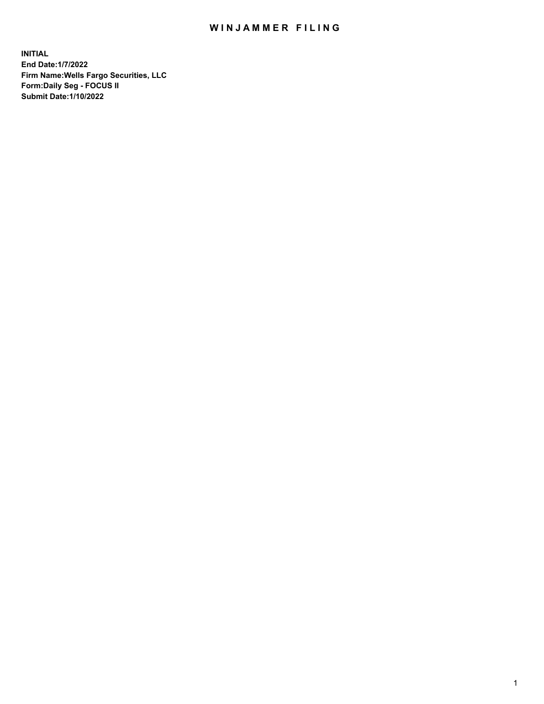## WIN JAMMER FILING

**INITIAL End Date:1/7/2022 Firm Name:Wells Fargo Securities, LLC Form:Daily Seg - FOCUS II Submit Date:1/10/2022**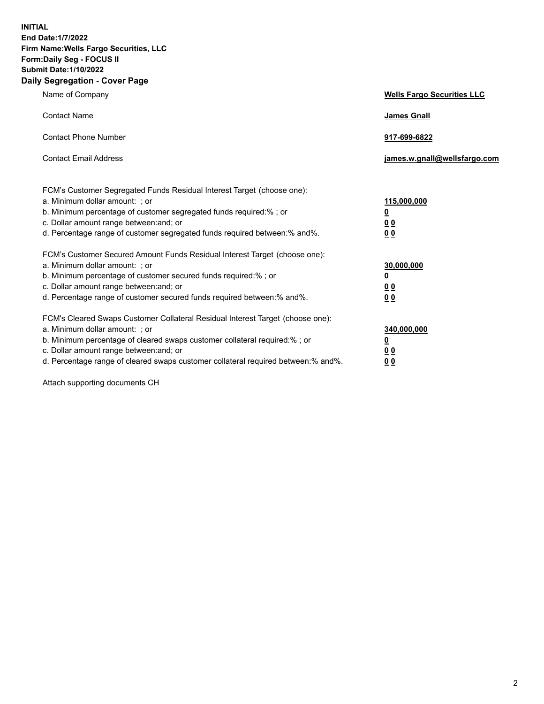**INITIAL End Date:1/7/2022 Firm Name:Wells Fargo Securities, LLC Form:Daily Seg - FOCUS II Submit Date:1/10/2022 Daily Segregation - Cover Page**

| Name of Company                                                                                                                                                                                                                                                                                                               | <b>Wells Fargo Securities LLC</b>                          |
|-------------------------------------------------------------------------------------------------------------------------------------------------------------------------------------------------------------------------------------------------------------------------------------------------------------------------------|------------------------------------------------------------|
| <b>Contact Name</b>                                                                                                                                                                                                                                                                                                           | <b>James Gnall</b>                                         |
| <b>Contact Phone Number</b>                                                                                                                                                                                                                                                                                                   | 917-699-6822                                               |
| <b>Contact Email Address</b>                                                                                                                                                                                                                                                                                                  | james.w.gnall@wellsfargo.com                               |
| FCM's Customer Segregated Funds Residual Interest Target (choose one):<br>a. Minimum dollar amount: ; or<br>b. Minimum percentage of customer segregated funds required:% ; or<br>c. Dollar amount range between: and; or<br>d. Percentage range of customer segregated funds required between:% and%.                        | 115,000,000<br><u>0</u><br>0 <sub>0</sub><br>00            |
| FCM's Customer Secured Amount Funds Residual Interest Target (choose one):<br>a. Minimum dollar amount: ; or<br>b. Minimum percentage of customer secured funds required:%; or<br>c. Dollar amount range between: and; or<br>d. Percentage range of customer secured funds required between: % and %.                         | 30,000,000<br><u>0</u><br>0 <sub>0</sub><br>0 <sub>0</sub> |
| FCM's Cleared Swaps Customer Collateral Residual Interest Target (choose one):<br>a. Minimum dollar amount: ; or<br>b. Minimum percentage of cleared swaps customer collateral required:%; or<br>c. Dollar amount range between: and; or<br>d. Percentage range of cleared swaps customer collateral required between:% and%. | 340,000,000<br><u>0</u><br>00<br>00                        |

Attach supporting documents CH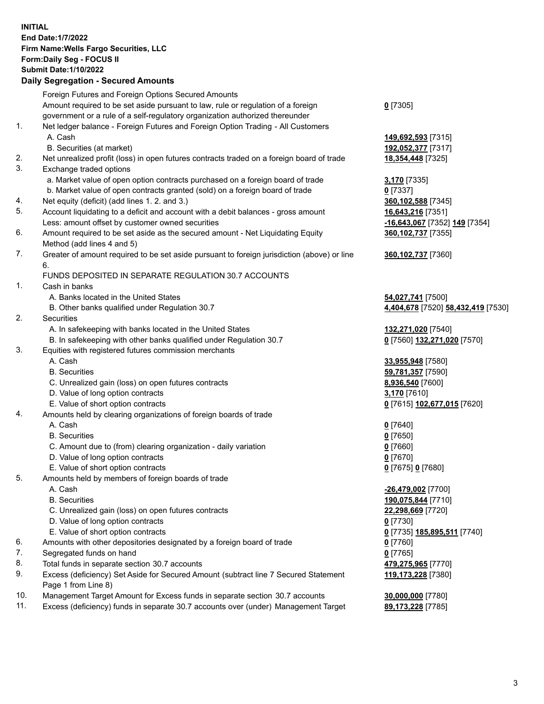**INITIAL End Date:1/7/2022 Firm Name:Wells Fargo Securities, LLC Form:Daily Seg - FOCUS II Submit Date:1/10/2022 Daily Segregation - Secured Amounts**

## Foreign Futures and Foreign Options Secured Amounts

Amount required to be set aside pursuant to law, rule or regulation of a foreign

- government or a rule of a self-regulatory organization authorized thereunder 1. Net ledger balance - Foreign Futures and Foreign Option Trading - All Customers
	-
	- B. Securities (at market) **192,052,377** [7317]
- 2. Net unrealized profit (loss) in open futures contracts traded on a foreign board of trade **18,354,448** [7325]
- 3. Exchange traded options
	- a. Market value of open option contracts purchased on a foreign board of trade **3,170** [7335]
	- b. Market value of open contracts granted (sold) on a foreign board of trade **0** [7337]
- 4. Net equity (deficit) (add lines 1. 2. and 3.) **360,102,588** [7345]
- 5. Account liquidating to a deficit and account with a debit balances gross amount **16,643,216** [7351] Less: amount offset by customer owned securities **-16,643,067** [7352] **149** [7354]
- 6. Amount required to be set aside as the secured amount Net Liquidating Equity Method (add lines 4 and 5)
- 7. Greater of amount required to be set aside pursuant to foreign jurisdiction (above) or line 6.

## FUNDS DEPOSITED IN SEPARATE REGULATION 30.7 ACCOUNTS

- 1. Cash in banks
	- A. Banks located in the United States **54,027,741** [7500]
	- B. Other banks qualified under Regulation 30.7 **4,404,678** [7520] **58,432,419** [7530]
- 2. Securities
	- A. In safekeeping with banks located in the United States **132,271,020** [7540]
	- B. In safekeeping with other banks qualified under Regulation 30.7 **0** [7560] **132,271,020** [7570]
- 3. Equities with registered futures commission merchants
	-
	-
	- C. Unrealized gain (loss) on open futures contracts **8,936,540** [7600]
	- D. Value of long option contracts **3,170** [7610]
	- E. Value of short option contracts **0** [7615] **102,677,015** [7620]
- 4. Amounts held by clearing organizations of foreign boards of trade
	- A. Cash **0** [7640]
	- B. Securities **0** [7650]
	- C. Amount due to (from) clearing organization daily variation **0** [7660]
	- D. Value of long option contracts **0** [7670]
	- E. Value of short option contracts **0** [7675] **0** [7680]
- 5. Amounts held by members of foreign boards of trade
	-
	-
	- C. Unrealized gain (loss) on open futures contracts **22,298,669** [7720]
	- D. Value of long option contracts **0** [7730]
	- E. Value of short option contracts **0** [7735] **185,895,511** [7740]
- 6. Amounts with other depositories designated by a foreign board of trade **0** [7760]
- 7. Segregated funds on hand **0** [7765]
- 8. Total funds in separate section 30.7 accounts **479,275,965** [7770]
- 9. Excess (deficiency) Set Aside for Secured Amount (subtract line 7 Secured Statement Page 1 from Line 8)
- 10. Management Target Amount for Excess funds in separate section 30.7 accounts **30,000,000** [7780]
- 11. Excess (deficiency) funds in separate 30.7 accounts over (under) Management Target **89,173,228** [7785]

**0** [7305]

A. Cash **149,692,593** [7315]

**360,102,737** [7355]

**360,102,737** [7360]

 A. Cash **33,955,948** [7580] B. Securities **59,781,357** [7590]

 A. Cash **-26,479,002** [7700] B. Securities **190,075,844** [7710] **119,173,228** [7380]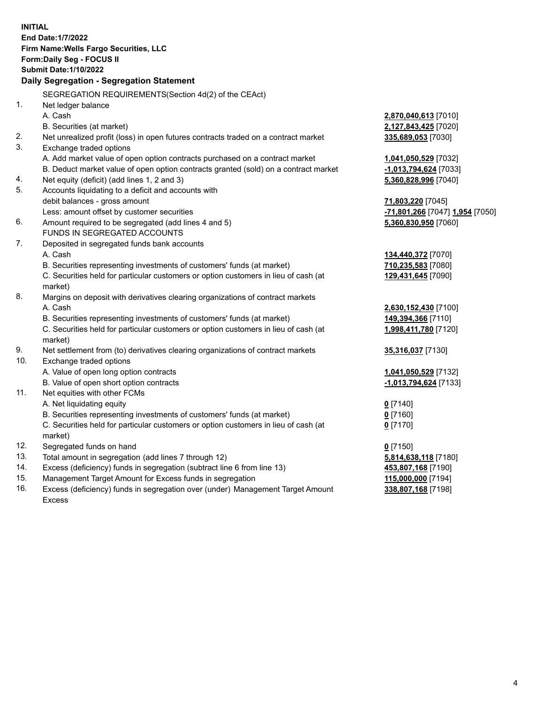**INITIAL End Date:1/7/2022 Firm Name:Wells Fargo Securities, LLC Form:Daily Seg - FOCUS II Submit Date:1/10/2022 Daily Segregation - Segregation Statement** SEGREGATION REQUIREMENTS(Section 4d(2) of the CEAct) 1. Net ledger balance A. Cash **2,870,040,613** [7010] B. Securities (at market) **2,127,843,425** [7020] 2. Net unrealized profit (loss) in open futures contracts traded on a contract market **335,689,053** [7030] 3. Exchange traded options A. Add market value of open option contracts purchased on a contract market **1,041,050,529** [7032] B. Deduct market value of open option contracts granted (sold) on a contract market **-1,013,794,624** [7033] 4. Net equity (deficit) (add lines 1, 2 and 3) **5,360,828,996** [7040] 5. Accounts liquidating to a deficit and accounts with debit balances - gross amount **71,803,220** [7045] Less: amount offset by customer securities **-71,801,266** [7047] **1,954** [7050] 6. Amount required to be segregated (add lines 4 and 5) **5,360,830,950** [7060] FUNDS IN SEGREGATED ACCOUNTS 7. Deposited in segregated funds bank accounts A. Cash **134,440,372** [7070] B. Securities representing investments of customers' funds (at market) **710,235,583** [7080] C. Securities held for particular customers or option customers in lieu of cash (at market) **129,431,645** [7090] 8. Margins on deposit with derivatives clearing organizations of contract markets A. Cash **2,630,152,430** [7100] B. Securities representing investments of customers' funds (at market) **149,394,366** [7110] C. Securities held for particular customers or option customers in lieu of cash (at market) **1,998,411,780** [7120] 9. Net settlement from (to) derivatives clearing organizations of contract markets **35,316,037** [7130] 10. Exchange traded options A. Value of open long option contracts **1,041,050,529** [7132] B. Value of open short option contracts **-1,013,794,624** [7133] 11. Net equities with other FCMs A. Net liquidating equity **0** [7140] B. Securities representing investments of customers' funds (at market) **0** [7160] C. Securities held for particular customers or option customers in lieu of cash (at market) **0** [7170] 12. Segregated funds on hand **0** [7150] 13. Total amount in segregation (add lines 7 through 12) **5,814,638,118** [7180] 14. Excess (deficiency) funds in segregation (subtract line 6 from line 13) **453,807,168** [7190] 15. Management Target Amount for Excess funds in segregation **115,000,000** [7194] 16. Excess (deficiency) funds in segregation over (under) Management Target Amount Excess **338,807,168** [7198]